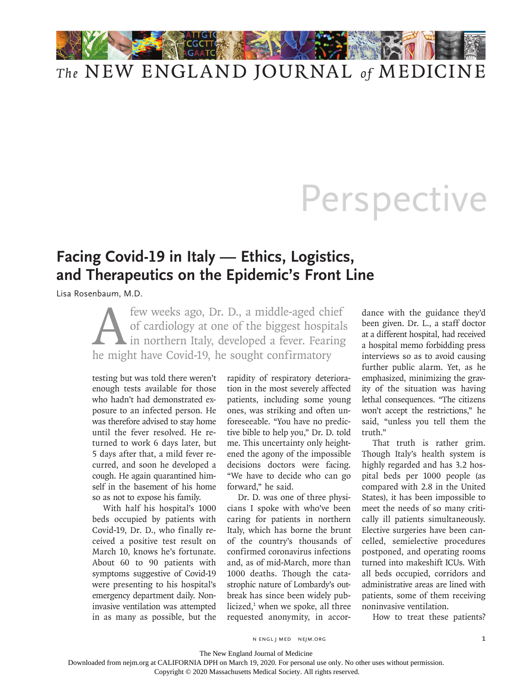## *The* NEW ENGLAND JOURNAL *of* MEDICINE

## **Perspective**

## **Facing Covid-19 in Italy — Ethics, Logistics, and Therapeutics on the Epidemic's Front Line**

Lisa Rosenbaum, M.D.

few weeks ago, Dr. D., a middle-aged chief<br>of cardiology at one of the biggest hospitals<br>in northern Italy, developed a fever. Fearing<br>he might have Covid-19, he sought confirmatory of cardiology at one of the biggest hospitals in northern Italy, developed a fever. Fearing he might have Covid-19, he sought confirmatory

testing but was told there weren't enough tests available for those who hadn't had demonstrated exposure to an infected person. He was therefore advised to stay home until the fever resolved. He returned to work 6 days later, but 5 days after that, a mild fever recurred, and soon he developed a cough. He again quarantined himself in the basement of his home so as not to expose his family.

With half his hospital's 1000 beds occupied by patients with Covid-19, Dr. D., who finally received a positive test result on March 10, knows he's fortunate. About 60 to 90 patients with symptoms suggestive of Covid-19 were presenting to his hospital's emergency department daily. Noninvasive ventilation was attempted in as many as possible, but the

rapidity of respiratory deterioration in the most severely affected patients, including some young ones, was striking and often unforeseeable. "You have no predictive bible to help you," Dr. D. told me. This uncertainty only heightened the agony of the impossible decisions doctors were facing. "We have to decide who can go forward," he said.

Dr. D. was one of three physicians I spoke with who've been caring for patients in northern Italy, which has borne the brunt of the country's thousands of confirmed coronavirus infections and, as of mid-March, more than 1000 deaths. Though the catastrophic nature of Lombardy's outbreak has since been widely publicized,<sup>1</sup> when we spoke, all three requested anonymity, in accordance with the guidance they'd been given. Dr. L., a staff doctor at a different hospital, had received a hospital memo forbidding press interviews so as to avoid causing further public alarm. Yet, as he emphasized, minimizing the gravity of the situation was having lethal consequences. "The citizens won't accept the restrictions," he said, "unless you tell them the truth."

That truth is rather grim. Though Italy's health system is highly regarded and has 3.2 hospital beds per 1000 people (as compared with 2.8 in the United States), it has been impossible to meet the needs of so many critically ill patients simultaneously. Elective surgeries have been cancelled, semielective procedures postponed, and operating rooms turned into makeshift ICUs. With all beds occupied, corridors and administrative areas are lined with patients, some of them receiving noninvasive ventilation.

How to treat these patients?

n engl j med nejm.org 1

The New England Journal of Medicine

Downloaded from nejm.org at CALIFORNIA DPH on March 19, 2020. For personal use only. No other uses without permission.

Copyright © 2020 Massachusetts Medical Society. All rights reserved.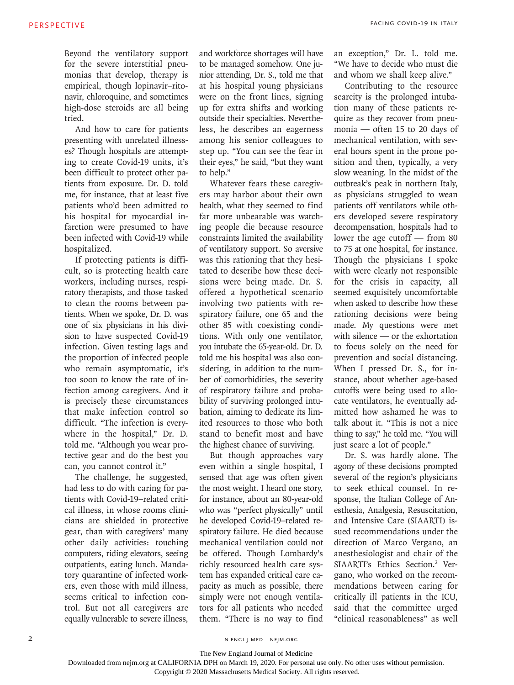Beyond the ventilatory support for the severe interstitial pneumonias that develop, therapy is empirical, though lopinavir–ritonavir, chloroquine, and sometimes high-dose steroids are all being tried.

And how to care for patients presenting with unrelated illnesses? Though hospitals are attempting to create Covid-19 units, it's been difficult to protect other patients from exposure. Dr. D. told me, for instance, that at least five patients who'd been admitted to his hospital for myocardial infarction were presumed to have been infected with Covid-19 while hospitalized.

If protecting patients is difficult, so is protecting health care workers, including nurses, respiratory therapists, and those tasked to clean the rooms between patients. When we spoke, Dr. D. was one of six physicians in his division to have suspected Covid-19 infection. Given testing lags and the proportion of infected people who remain asymptomatic, it's too soon to know the rate of infection among caregivers. And it is precisely these circumstances that make infection control so difficult. "The infection is everywhere in the hospital," Dr. D. told me. "Although you wear protective gear and do the best you can, you cannot control it."

The challenge, he suggested, had less to do with caring for patients with Covid-19–related critical illness, in whose rooms clinicians are shielded in protective gear, than with caregivers' many other daily activities: touching computers, riding elevators, seeing outpatients, eating lunch. Mandatory quarantine of infected workers, even those with mild illness, seems critical to infection control. But not all caregivers are equally vulnerable to severe illness,

and workforce shortages will have to be managed somehow. One junior attending, Dr. S., told me that at his hospital young physicians were on the front lines, signing up for extra shifts and working outside their specialties. Nevertheless, he describes an eagerness among his senior colleagues to step up. "You can see the fear in their eyes," he said, "but they want to help."

Whatever fears these caregivers may harbor about their own health, what they seemed to find far more unbearable was watching people die because resource constraints limited the availability of ventilatory support. So aversive was this rationing that they hesitated to describe how these decisions were being made. Dr. S. offered a hypothetical scenario involving two patients with respiratory failure, one 65 and the other 85 with coexisting conditions. With only one ventilator, you intubate the 65-year-old. Dr. D. told me his hospital was also considering, in addition to the number of comorbidities, the severity of respiratory failure and probability of surviving prolonged intubation, aiming to dedicate its limited resources to those who both stand to benefit most and have the highest chance of surviving.

But though approaches vary even within a single hospital, I sensed that age was often given the most weight. I heard one story, for instance, about an 80-year-old who was "perfect physically" until he developed Covid-19–related respiratory failure. He died because mechanical ventilation could not be offered. Though Lombardy's richly resourced health care system has expanded critical care capacity as much as possible, there simply were not enough ventilators for all patients who needed them. "There is no way to find an exception," Dr. L. told me. "We have to decide who must die and whom we shall keep alive."

Contributing to the resource scarcity is the prolonged intubation many of these patients require as they recover from pneumonia — often 15 to 20 days of mechanical ventilation, with several hours spent in the prone position and then, typically, a very slow weaning. In the midst of the outbreak's peak in northern Italy, as physicians struggled to wean patients off ventilators while others developed severe respiratory decompensation, hospitals had to lower the age cutoff — from 80 to 75 at one hospital, for instance. Though the physicians I spoke with were clearly not responsible for the crisis in capacity, all seemed exquisitely uncomfortable when asked to describe how these rationing decisions were being made. My questions were met with silence — or the exhortation to focus solely on the need for prevention and social distancing. When I pressed Dr. S., for instance, about whether age-based cutoffs were being used to allocate ventilators, he eventually admitted how ashamed he was to talk about it. "This is not a nice thing to say," he told me. "You will just scare a lot of people."

Dr. S. was hardly alone. The agony of these decisions prompted several of the region's physicians to seek ethical counsel. In response, the Italian College of Anesthesia, Analgesia, Resuscitation, and Intensive Care (SIAARTI) issued recommendations under the direction of Marco Vergano, an anesthesiologist and chair of the SIAARTI's Ethics Section.<sup>2</sup> Vergano, who worked on the recommendations between caring for critically ill patients in the ICU, said that the committee urged "clinical reasonableness" as well

n engl j med nejm.org

Copyright © 2020 Massachusetts Medical Society. All rights reserved.